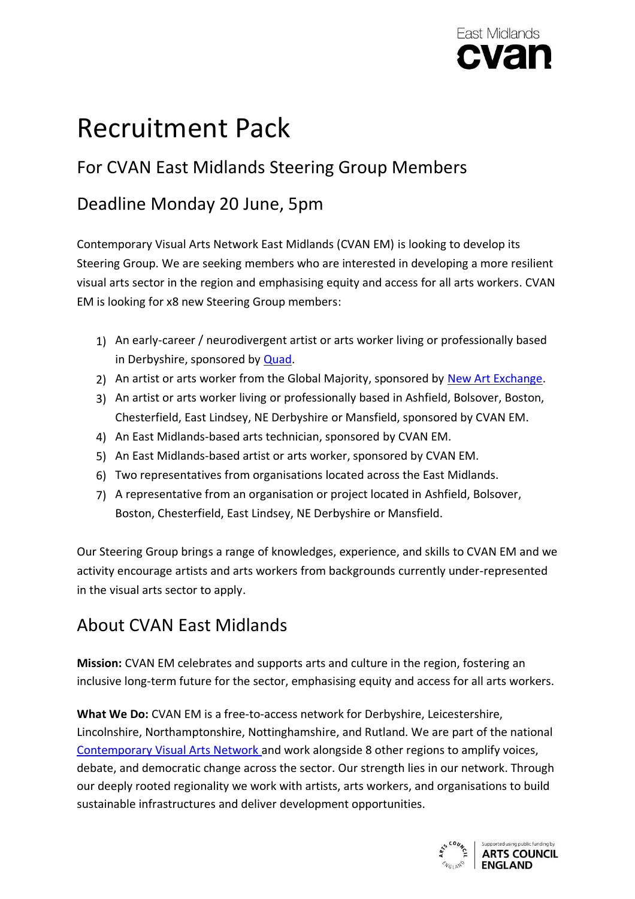

# Recruitment Pack

# For CVAN East Midlands Steering Group Members

### Deadline Monday 20 June, 5pm

Contemporary Visual Arts Network East Midlands (CVAN EM) is looking to develop its Steering Group. We are seeking members who are interested in developing a more resilient visual arts sector in the region and emphasising equity and access for all arts workers. CVAN EM is looking for x8 new Steering Group members:

- 1) An early-career / neurodivergent artist or arts worker living or professionally based in Derbyshire, sponsored by [Quad.](https://www.derbyquad.co.uk/)
- 2) An artist or arts worker from the Global Majority, sponsored by [New Art Exchange.](https://www.google.com/search?client=safari&rls=en&q=newartexchange&ie=UTF-8&oe=UTF-8)
- 3) An artist or arts worker living or professionally based in Ashfield, Bolsover, Boston, Chesterfield, East Lindsey, NE Derbyshire or Mansfield, sponsored by CVAN EM.
- 4) An East Midlands-based arts technician, sponsored by CVAN EM.
- 5) An East Midlands-based artist or arts worker, sponsored by CVAN EM.
- 6) Two representatives from organisations located across the East Midlands.
- 7) A representative from an organisation or project located in Ashfield, Bolsover, Boston, Chesterfield, East Lindsey, NE Derbyshire or Mansfield.

Our Steering Group brings a range of knowledges, experience, and skills to CVAN EM and we activity encourage artists and arts workers from backgrounds currently under-represented in the visual arts sector to apply.

### About CVAN East Midlands

**Mission:** CVAN EM celebrates and supports arts and culture in the region, fostering an inclusive long-term future for the sector, emphasising equity and access for all arts workers.

**What We Do:** CVAN EM is a free-to-access network for Derbyshire, Leicestershire, Lincolnshire, Northamptonshire, Nottinghamshire, and Rutland. We are part of the national [Contemporary Visual Arts Network](https://cvan.art/) and work alongside 8 other regions to amplify voices, debate, and democratic change across the sector. Our strength lies in our network. Through our deeply rooted regionality we work with artists, arts workers, and organisations to build sustainable infrastructures and deliver development opportunities.

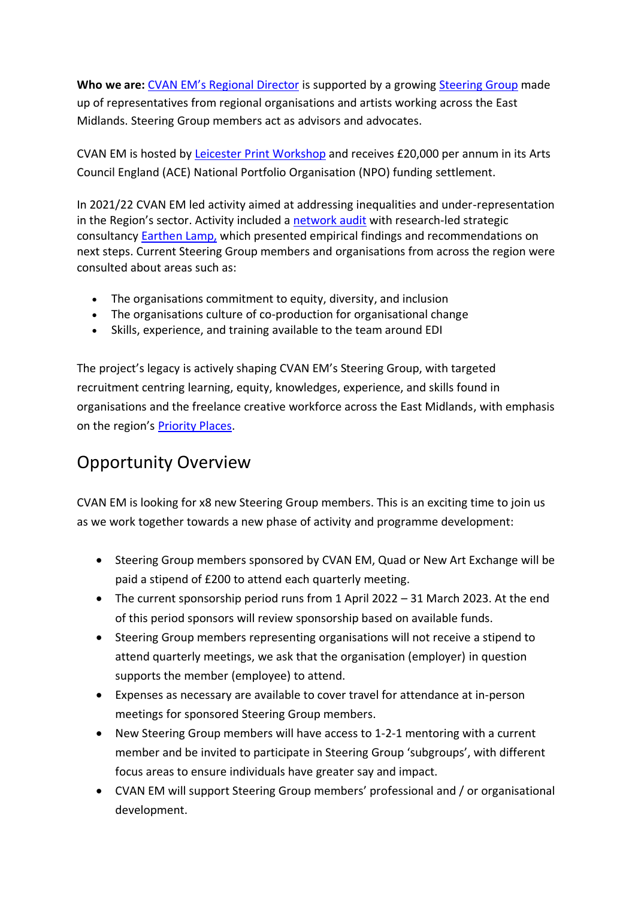**Who we are:** CVAN EM's [Regional](https://cvaneastmidlands.co.uk/staff-team/) Director is supported by a growing [Steering](https://cvaneastmidlands.co.uk/steering-group/) Group made up of representatives from regional organisations and artists working across the East Midlands. Steering Group members act as advisors and advocates.

CVAN EM is hosted by Leicester Print [Workshop](http://www.leicesterprintworkshop.com/) and receives £20,000 per annum in its Arts Council England (ACE) National Portfolio Organisation (NPO) funding settlement.

In 2021/22 CVAN EM led activity aimed at addressing inequalities and under-representation in the Region's sector. Activity included a [network audit](https://cvaneastmidlands.co.uk/consultation-project-with-earthen-lamp/) with research-led strategic consultancy [Earthen](https://www.earthenlamp.com/) Lamp, which presented empirical findings and recommendations on next steps. Current Steering Group members and organisations from across the region were consulted about areas such as:

- The organisations commitment to equity, diversity, and inclusion
- The organisations culture of co-production for organisational change
- Skills, experience, and training available to the team around EDI

The project's legacy is actively shaping CVAN EM's Steering Group, with targeted recruitment centring learning, equity, knowledges, experience, and skills found in organisations and the freelance creative workforce across the East Midlands, with emphasis on the region's [Priority Places.](https://www.artscouncil.org.uk/LUCPs#section-1)

### Opportunity Overview

CVAN EM is looking for x8 new Steering Group members. This is an exciting time to join us as we work together towards a new phase of activity and programme development:

- Steering Group members sponsored by CVAN EM, Quad or New Art Exchange will be paid a stipend of £200 to attend each quarterly meeting.
- The current sponsorship period runs from 1 April 2022 31 March 2023. At the end of this period sponsors will review sponsorship based on available funds.
- Steering Group members representing organisations will not receive a stipend to attend quarterly meetings, we ask that the organisation (employer) in question supports the member (employee) to attend.
- Expenses as necessary are available to cover travel for attendance at in-person meetings for sponsored Steering Group members.
- New Steering Group members will have access to 1-2-1 mentoring with a current member and be invited to participate in Steering Group 'subgroups', with different focus areas to ensure individuals have greater say and impact.
- CVAN EM will support Steering Group members' professional and / or organisational development.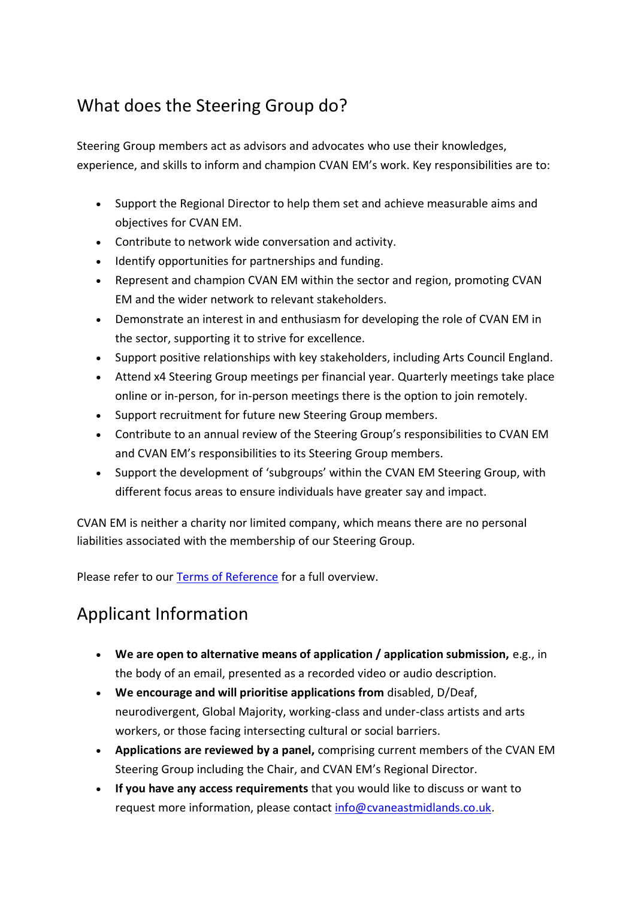### What does the Steering Group do?

Steering Group members act as advisors and advocates who use their knowledges, experience, and skills to inform and champion CVAN EM's work. Key responsibilities are to:

- Support the Regional Director to help them set and achieve measurable aims and objectives for CVAN EM.
- Contribute to network wide conversation and activity.
- Identify opportunities for partnerships and funding.
- Represent and champion CVAN EM within the sector and region, promoting CVAN EM and the wider network to relevant stakeholders.
- Demonstrate an interest in and enthusiasm for developing the role of CVAN EM in the sector, supporting it to strive for excellence.
- Support positive relationships with key stakeholders, including Arts Council England.
- Attend x4 Steering Group meetings per financial year. Quarterly meetings take place online or in-person, for in-person meetings there is the option to join remotely.
- Support recruitment for future new Steering Group members.
- Contribute to an annual review of the Steering Group's responsibilities to CVAN EM and CVAN EM's responsibilities to its Steering Group members.
- Support the development of 'subgroups' within the CVAN EM Steering Group, with different focus areas to ensure individuals have greater say and impact.

CVAN EM is neither a charity nor limited company, which means there are no personal liabilities associated with the membership of our Steering Group.

Please refer to our [Terms of Reference](https://cvaneastmidlands.co.uk/wp-content/uploads/2022/05/Terms-of-Reference_Steering-Group_2022.pdf) for a full overview.

# Applicant Information

- **We are open to alternative means of application / application submission,** e.g., in the body of an email, presented as a recorded video or audio description.
- **We encourage and will prioritise applications from** disabled, D/Deaf, neurodivergent, Global Majority, working-class and under-class artists and arts workers, or those facing intersecting cultural or social barriers.
- **Applications are reviewed by a panel,** comprising current members of the CVAN EM Steering Group including the Chair, and CVAN EM's Regional Director.
- **If you have any access requirements** that you would like to discuss or want to request more information, please contact [info@cvaneastmidlands.co.uk.](mailto:info@cvaneastmidlands.co.uk)